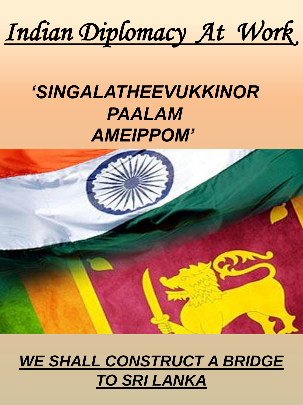# *Indian Diplomacy At Work*

# *'SINGALATHEEVUKKINOR PAALAM AMEIPPOM'*



## *WE SHALL CONSTRUCT A BRIDGE TO SRI LANKA*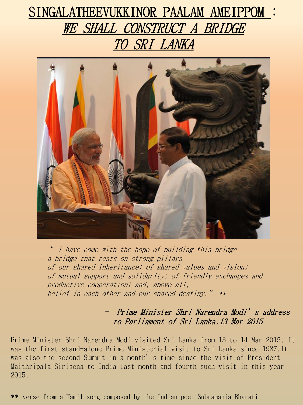## SINGALATHEEVUKKINOR PAALAM AMEIPPOM : WE SHALL CONSTRUCT A BRIDGE TO SRI LANKA



I have come with the hope of building this bridge - a bridge that rests on strong pillars of our shared inheritance; of shared values and vision; of mutual support and solidarity; of friendly exchanges and productive cooperation; and, above all, belief in each other and our shared destiny." \*\*

> - Prime Minister Shri Narendra Modi's address to Parliament of Sri Lanka,13 Mar 2015

Prime Minister Shri Narendra Modi visited Sri Lanka from 13 to 14 Mar 2015. It was the first stand-alone Prime Ministerial visit to Sri Lanka since 1987.It was also the second Summit in a month's time since the visit of President Maithripala Sirisena to India last month and fourth such visit in this year 2015.

\*\* verse from a Tamil song composed by the Indian poet Subramania Bharati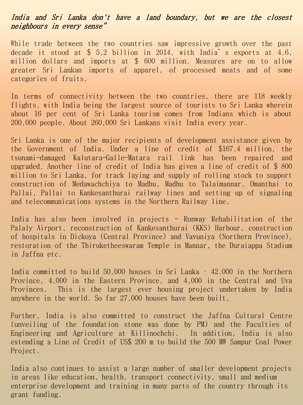#### India and Sri Lanka don't have a land boundary, but we are the closest neighbours in every sense"

While trade between the two countries saw impressive growth over the past decade it stood at \$ 5.2 billion in 2014, with India's exports at 4.6, million dollars and imports at \$ 600 million. Measures are on to allow greater Sri Lankan imports of apparel, of processed meats and of some categories of fruits.

In terms of connectivity between the two countries, there are 118 weekly flights, with India being the largest source of tourists to Sri Lanka wherein about 16 per cent of Sri Lanka tourism comes from Indians which is about 200,000 people. About 260,000 Sri Lankans visit India every year.

Sri Lanka is one of the major recipients of development assistance given by the Government of India. Under a line of credit of \$167.4 million, the tsunami-damaged Kalutara-Galle-Matara rail link has been repaired and upgraded. Another line of credit of India has given a line of credit of \$ 800 million to Sri Lanka, for track laying and supply of rolling stock to support construction of Medawachchiya to Madhu, Madhu to Talaimannar, Omanthai to Pallai, Pallai to Kankesanthurai railway lines and setting up of signaling and telecommunications systems in the Northern Railway line.

India has also been involved in projects - Runway Rehabilitation of the Palaly Airport, reconstruction of Kankesanthurai (KKS) Harbour, construction of hospitals in Dickoya (Central Province) and Vavuniya (Northern Province), restoration of the Thiruketheeswaram Temple in Mannar, the Duraiappa Stadium in Jaffna etc.

India committed to build 50,000 houses in Sri Lanka – 42,000 in the Northern Province, 4,000 in the Eastern Province, and 4,000 in the Central and Uva Provinces. This is the largest ever housing project undertaken by India anywhere in the world. So far 27,000 houses have been built.

Further, India is also committed to construct the Jaffna Cultural Centre (unveiling of the foundation stone was done by PM) and the Faculties of Engineering and Agriculture at Killinochchi. In addition, India is also extending a Line of Credit of US\$ 200 m to build the 500 MW Sampur Coal Power Project.

India also continues to assist a large number of smaller development projects in areas like education, health, transport connectivity, small and medium enterprise development and training in many parts of the country through its grant funding.